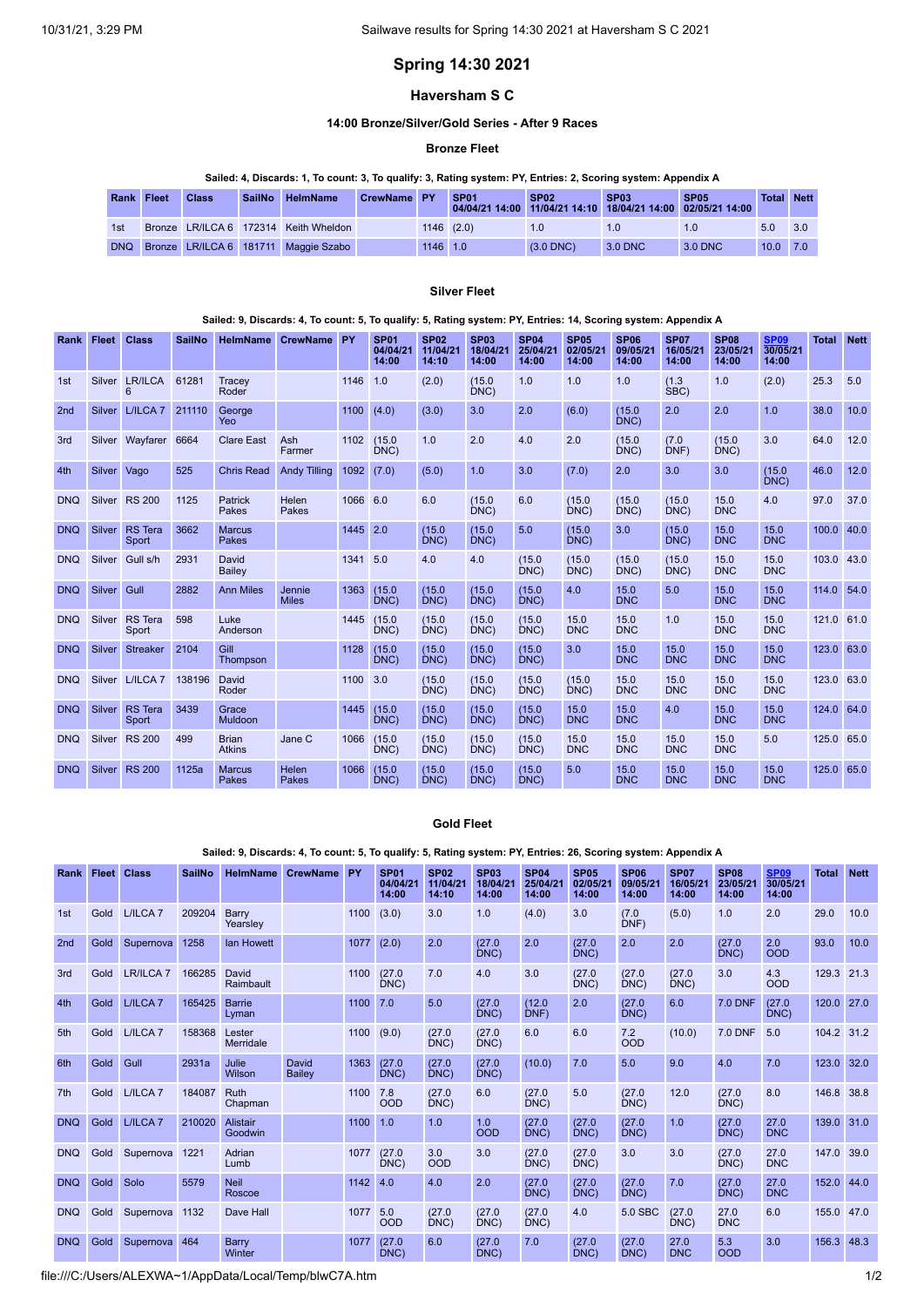# **Spring 14:30 2021**

# **Haversham S C**

### **14:00 Bronze/Silver/Gold Series - After 9 Races**

### **Bronze Fleet**

### Sailed: 4, Discards: 1, To count: 3, To qualify: 3, Rating system: PY, Entries: 2, Scoring system: Appendix A

| <b>Rank Fleet</b> | <b>Class</b> | <b>SailNo</b> | <b>HelmName</b>                       | CrewName PY |          | SP <sub>01</sub> | SP <sub>02</sub> | SP <sub>03</sub><br>04/04/21 14:00 11/04/21 14:10 18/04/21 14:00 02/05/21 14:00 | <b>SP05</b> |            | <b>Total Nett</b> |
|-------------------|--------------|---------------|---------------------------------------|-------------|----------|------------------|------------------|---------------------------------------------------------------------------------|-------------|------------|-------------------|
| 1st               |              |               | Bronze LR/ILCA 6 172314 Keith Wheldon |             |          | $1146$ $(2.0)$   |                  |                                                                                 | 1.0         | 5.0        | 3.0               |
| <b>DNQ</b>        |              |               | Bronze LR/ILCA 6 181711 Maggie Szabo  |             | 1146 1.0 |                  | $(3.0$ DNC $)$   | 3.0 DNC                                                                         | 3.0 DNC     | $10.0$ 7.0 |                   |

### **Silver Fleet**

### Sailed: 9, Discards: 4, To count: 5, To qualify: 5, Rating system: PY, Entries: 14, Scoring system: Appendix A

| Rank       | <b>Fleet</b> | <b>Class</b>            | <b>SailNo</b> |                               | <b>HelmName CrewName</b> | PY       | <b>SP01</b><br>04/04/21<br>14:00 | <b>SP02</b><br>11/04/21<br>14:10 | <b>SP03</b><br>18/04/21<br>14:00 | <b>SP04</b><br>25/04/21<br>14:00 | <b>SP05</b><br>02/05/21<br>14:00 | <b>SP06</b><br>09/05/21<br>14:00 | <b>SP07</b><br>16/05/21<br>14:00 | <b>SP08</b><br>23/05/21<br>14:00 | <b>SP09</b><br>30/05/21<br>14:00 | <b>Total</b> | <b>Nett</b> |
|------------|--------------|-------------------------|---------------|-------------------------------|--------------------------|----------|----------------------------------|----------------------------------|----------------------------------|----------------------------------|----------------------------------|----------------------------------|----------------------------------|----------------------------------|----------------------------------|--------------|-------------|
| 1st        |              | Silver LR/ILCA<br>6     | 61281         | Tracey<br>Roder               |                          | 1146     | 1.0                              | (2.0)                            | (15.0)<br>DNC)                   | 1.0                              | 1.0                              | 1.0                              | (1.3)<br>SBC)                    | 1.0                              | (2.0)                            | 25.3         | 5.0         |
| 2nd        | Silver       | L/ILCA <sub>7</sub>     | 211110        | George<br>Yeo                 |                          | 1100     | (4.0)                            | (3.0)                            | 3.0                              | 2.0                              | (6.0)                            | (15.0)<br>DNC)                   | 2.0                              | 2.0                              | 1.0                              | 38.0         | 10.0        |
| 3rd        |              | Silver Wayfarer         | 6664          | <b>Clare East</b>             | Ash<br>Farmer            |          | 1102 (15.0<br>DNC)               | 1.0                              | 2.0                              | 4.0                              | 2.0                              | (15.0)<br>DNC)                   | (7.0)<br>DNF)                    | (15.0)<br>DNC)                   | 3.0                              | 64.0         | 12.0        |
| 4th        | Silver       | Vago                    | 525           | <b>Chris Read</b>             | <b>Andy Tilling</b>      | 1092     | (7.0)                            | (5.0)                            | 1.0                              | 3.0                              | (7.0)                            | 2.0                              | 3.0                              | 3.0                              | (15.0)<br>DNC)                   | 46.0         | 12.0        |
| <b>DNQ</b> |              | Silver RS 200           | 1125          | Patrick<br>Pakes              | Helen<br>Pakes           | 1066 6.0 |                                  | 6.0                              | (15.0)<br>DNC)                   | 6.0                              | (15.0)<br>DNC)                   | (15.0)<br>DNC)                   | (15.0)<br>DNC)                   | 15.0<br><b>DNC</b>               | 4.0                              | 97.0         | 37.0        |
| <b>DNQ</b> | Silver       | <b>RS</b> Tera<br>Sport | 3662          | <b>Marcus</b><br>Pakes        |                          | 1445 2.0 |                                  | (15.0)<br>DNC)                   | (15.0)<br>DNC)                   | 5.0                              | (15.0)<br>DNC)                   | 3.0                              | (15.0)<br>DNC)                   | 15.0<br><b>DNC</b>               | 15.0<br><b>DNC</b>               | 100.0        | 40.0        |
| <b>DNQ</b> | Silver       | Gull s/h                | 2931          | David<br>Bailey               |                          | 1341     | 5.0                              | 4.0                              | 4.0                              | (15.0)<br>DNC)                   | (15.0)<br>DNC)                   | (15.0)<br>DNC)                   | (15.0)<br>DNC)                   | 15.0<br><b>DNC</b>               | 15.0<br><b>DNC</b>               | 103.0        | 43.0        |
| <b>DNQ</b> | Silver       | Gull                    | 2882          | <b>Ann Miles</b>              | Jennie<br><b>Miles</b>   | 1363     | (15.0)<br>DNC)                   | (15.0)<br>DNC)                   | (15.0)<br>DNC)                   | (15.0)<br>DNC)                   | 4.0                              | 15.0<br><b>DNC</b>               | 5.0                              | 15.0<br><b>DNC</b>               | 15.0<br><b>DNC</b>               | 114.0 54.0   |             |
| <b>DNQ</b> | Silver       | <b>RS</b> Tera<br>Sport | 598           | Luke<br>Anderson              |                          | 1445     | (15.0)<br>DNC)                   | (15.0)<br>DNC)                   | (15.0)<br>DNC)                   | (15.0)<br>DNC                    | 15.0<br><b>DNC</b>               | 15.0<br><b>DNC</b>               | 1.0                              | 15.0<br><b>DNC</b>               | 15.0<br><b>DNC</b>               | 121.0 61.0   |             |
| <b>DNQ</b> | Silver       | <b>Streaker</b>         | 2104          | Gill<br>Thompson              |                          | 1128     | (15.0)<br>DNC)                   | (15.0)<br>DNC)                   | (15.0)<br>DNC)                   | (15.0)<br>DNC)                   | 3.0                              | 15.0<br><b>DNC</b>               | 15.0<br><b>DNC</b>               | 15.0<br><b>DNC</b>               | 15.0<br><b>DNC</b>               | 123.0 63.0   |             |
| <b>DNQ</b> |              | Silver L/ILCA 7         | 138196        | David<br>Roder                |                          | 1100 3.0 |                                  | (15.0)<br>DNC)                   | (15.0)<br>DNC)                   | (15.0)<br>DNC)                   | (15.0)<br>DNC                    | 15.0<br><b>DNC</b>               | 15.0<br><b>DNC</b>               | 15.0<br><b>DNC</b>               | 15.0<br><b>DNC</b>               | 123.0 63.0   |             |
| <b>DNQ</b> | Silver       | <b>RS</b> Tera<br>Sport | 3439          | Grace<br><b>Muldoon</b>       |                          |          | 1445 (15.0)<br>DNC               | (15.0)<br>DNC                    | (15.0)<br>DNC)                   | (15.0)<br>DNC)                   | 15.0<br><b>DNC</b>               | 15.0<br><b>DNC</b>               | 4.0                              | 15.0<br><b>DNC</b>               | 15.0<br><b>DNC</b>               | 124.0 64.0   |             |
| <b>DNQ</b> | Silver       | <b>RS 200</b>           | 499           | <b>Brian</b><br><b>Atkins</b> | Jane C                   | 1066     | (15.0)<br>DNC                    | (15.0)<br>DNC)                   | (15.0)<br>DNC)                   | (15.0)<br>DNC)                   | 15.0<br><b>DNC</b>               | 15.0<br><b>DNC</b>               | 15.0<br><b>DNC</b>               | 15.0<br><b>DNC</b>               | 5.0                              | 125.0 65.0   |             |
| <b>DNQ</b> | Silver       | <b>RS 200</b>           | 1125a         | <b>Marcus</b><br>Pakes        | <b>Helen</b><br>Pakes    | 1066     | (15.0)<br>DNC                    | (15.0)<br>DNC)                   | (15.0)<br>DNC)                   | (15.0)<br>DNC)                   | 5.0                              | 15.0<br><b>DNC</b>               | 15.0<br><b>DNC</b>               | 15.0<br><b>DNC</b>               | 15.0<br><b>DNC</b>               | 125.0        | 65.0        |

### **Gold Fleet**

Sailed: 9, Discards: 4, To count: 5, To qualify: 5, Rating system: PY, Entries: 26, Scoring system: Appendix A

| Rank            | <b>Fleet</b> | <b>Class</b>         | <b>SailNo</b> | <b>HelmName</b>        | <b>CrewName</b>        | <b>PY</b> | <b>SP01</b><br>04/04/21<br>14:00 | <b>SP02</b><br>11/04/21<br>14:10 | <b>SP03</b><br>18/04/21<br>14:00 | <b>SP04</b><br>25/04/21<br>14:00 | <b>SP05</b><br>02/05/21<br>14:00 | <b>SP06</b><br>09/05/21<br>14:00 | <b>SP07</b><br>16/05/21<br>14:00 | <b>SP08</b><br>23/05/21<br>14:00 | <b>SP09</b><br>30/05/21<br>14:00 | <b>Total</b> | <b>Nett</b> |
|-----------------|--------------|----------------------|---------------|------------------------|------------------------|-----------|----------------------------------|----------------------------------|----------------------------------|----------------------------------|----------------------------------|----------------------------------|----------------------------------|----------------------------------|----------------------------------|--------------|-------------|
| 1st             | Gold         | L/ILCA <sub>7</sub>  | 209204        | Barry<br>Yearslev      |                        | 1100      | (3.0)                            | 3.0                              | 1.0                              | (4.0)                            | 3.0                              | (7.0)<br>DNF)                    | (5.0)                            | 1.0                              | 2.0                              | 29.0         | 10.0        |
| 2 <sub>nd</sub> | Gold         | Supernova            | 1258          | lan Howett             |                        | 1077      | (2.0)                            | 2.0                              | (27.0)<br>DNC                    | 2.0                              | (27.0)<br>DNC)                   | 2.0                              | 2.0                              | (27.0)<br>DNC                    | 2.0<br>OOD                       | 93.0         | 10.0        |
| 3rd             | Gold         | LR/ILCA <sub>7</sub> | 166285        | David<br>Raimbault     |                        | 1100      | (27.0)<br>DNC)                   | 7.0                              | 4.0                              | 3.0                              | (27.0)<br>DNC)                   | (27.0)<br>DNC)                   | (27.0)<br>DNC)                   | 3.0                              | 4.3<br>OOD                       | 129.3        | 21.3        |
| 4th             | Gold         | L/ILCA <sub>7</sub>  | 165425        | <b>Barrie</b><br>Lyman |                        | 1100      | 7.0                              | 5.0                              | (27.0)<br>DNC)                   | (12.0)<br>DNF                    | 2.0                              | (27.0)<br>DNC)                   | 6.0                              | <b>7.0 DNF</b>                   | (27.0)<br>DNC)                   | 120.0        | 27.0        |
| 5th             | Gold         | L/ILCA <sub>7</sub>  | 158368        | Lester<br>Merridale    |                        | 1100      | (9.0)                            | (27.0)<br>DNC)                   | (27.0)<br>DNC)                   | 6.0                              | 6.0                              | 7.2<br>OOD                       | (10.0)                           | 7.0 DNF                          | 5.0                              | 104.2        | 31.2        |
| 6th             | Gold         | Gull                 | 2931a         | Julie<br>Wilson        | David<br><b>Bailey</b> | 1363      | (27.0)<br>DNC)                   | (27.0)<br>DNC)                   | (27.0)<br>DNC)                   | (10.0)                           | 7.0                              | 5.0                              | 9.0                              | 4.0                              | 7.0                              | 123.0        | 32.0        |
| 7th             | Gold         | L/ILCA <sub>7</sub>  | 184087        | <b>Ruth</b><br>Chapman |                        | 1100      | 7.8<br><b>OOD</b>                | (27.0)<br>DNC)                   | 6.0                              | (27.0)<br>DNC                    | 5.0                              | (27.0)<br>DNC)                   | 12.0                             | (27.0)<br>DNC)                   | 8.0                              | 146.8        | 38.8        |
| <b>DNQ</b>      | Gold         | L/ILCA <sub>7</sub>  | 210020        | Alistair<br>Goodwin    |                        | 1100      | 1.0                              | 1.0                              | 1.0<br><b>OOD</b>                | (27.0)<br>DNC)                   | (27.0)<br>DNC)                   | (27.0)<br>DNC)                   | 1.0                              | (27.0)<br>DNC                    | 27.0<br><b>DNC</b>               | 139.0        | 31.0        |
| <b>DNQ</b>      | Gold         | Supernova            | 1221          | Adrian<br>Lumb         |                        | 1077      | (27.0)<br>DNC)                   | 3.0<br><b>OOD</b>                | 3.0                              | (27.0)<br>DNC                    | (27.0)<br>DNC)                   | 3.0                              | 3.0                              | (27.0)<br>DNC)                   | 27.0<br><b>DNC</b>               | 147.0        | 39.0        |
| <b>DNQ</b>      | Gold         | Solo                 | 5579          | <b>Neil</b><br>Roscoe  |                        | 1142      | 4.0                              | 4.0                              | 2.0                              | (27.0)<br>DNC)                   | (27.0)<br>DNC)                   | (27.0)<br>DNC)                   | 7.0                              | (27.0)<br>$\overline{DNC}$       | 27.0<br><b>DNC</b>               | 152.0        | 44.0        |
| <b>DNQ</b>      | Gold         | Supernova            | 1132          | Dave Hall              |                        | 1077      | 5.0<br><b>OOD</b>                | (27.0)<br>DNC)                   | (27.0)<br>DNC)                   | (27.0)<br>DNC)                   | 4.0                              | 5.0 SBC                          | (27.0)<br>DNC                    | 27.0<br><b>DNC</b>               | 6.0                              | 155.0        | 47.0        |
| <b>DNQ</b>      | Gold         | Supernova            | 464           | Barry<br>Winter        |                        | 1077      | (27.0)<br>DNC)                   | 6.0                              | (27.0)<br>DNC                    | 7.0                              | (27.0)<br>DNC)                   | (27.0)<br>DNC)                   | 27.0<br><b>DNC</b>               | 5.3<br><b>OOD</b>                | 3.0                              | 156.3        | 48.3        |

file:///C:/Users/ALEXWA~1/AppData/Local/Temp/blwC7A.htm 1/2